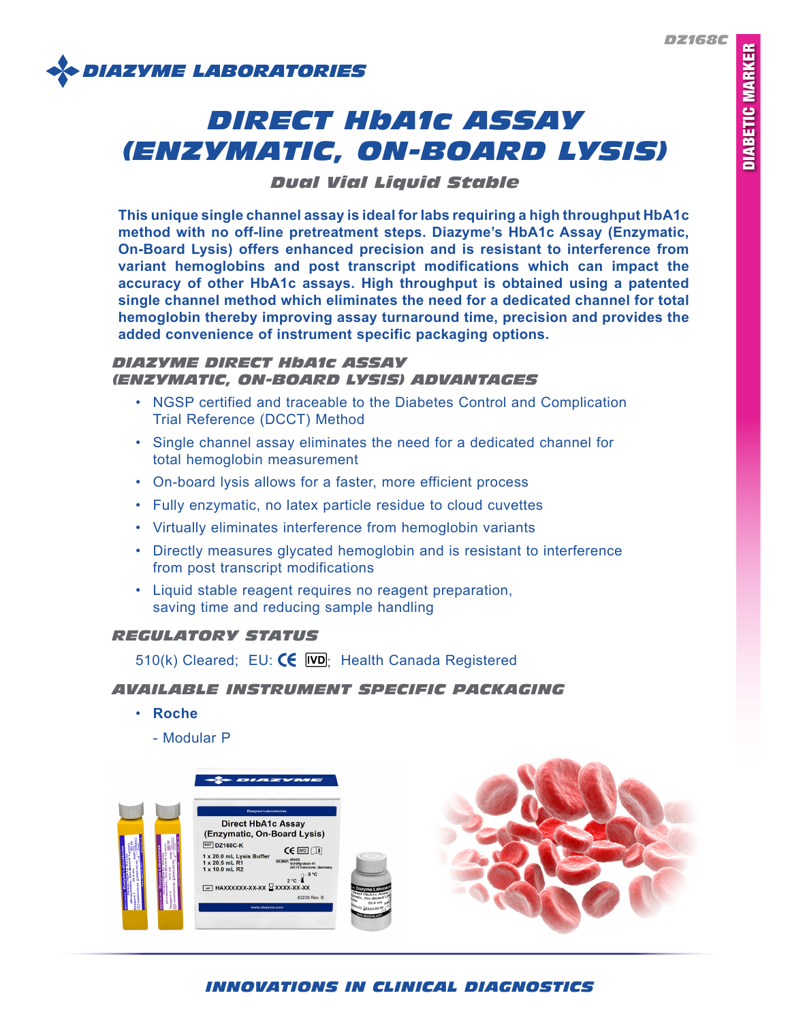

# *DIRECT HbA1c ASSAY (ENZYMATIC, ON-BOARD LYSIS)*

# *Dual Vial Liquid Stable*

**This unique single channel assay is ideal for labs requiring a high throughput HbA1c method with no off-line pretreatment steps. Diazyme's HbA1c Assay (Enzymatic, On-Board Lysis) offers enhanced precision and is resistant to interference from variant hemoglobins and post transcript modifications which can impact the accuracy of other HbA1c assays. High throughput is obtained using a patented single channel method which eliminates the need for a dedicated channel for total hemoglobin thereby improving assay turnaround time, precision and provides the added convenience of instrument specific packaging options.**

## *DIAZYME DIRECT HbA1c ASSAY (ENZYMATIC, ON-BOARD LYSIS) ADVANTAGES*

- NGSP certified and traceable to the Diabetes Control and Complication Trial Reference (DCCT) Method
- Single channel assay eliminates the need for a dedicated channel for total hemoglobin measurement
- On-board lysis allows for a faster, more efficient process
- Fully enzymatic, no latex particle residue to cloud cuvettes
- Virtually eliminates interference from hemoglobin variants
- Directly measures glycated hemoglobin and is resistant to interference from post transcript modifications
- Liquid stable reagent requires no reagent preparation, saving time and reducing sample handling

## *REGULATORY STATUS*

510(k) Cleared; EU:  $\left(\frac{1}{2} \right)$  Health Canada Registered

## *AVAILABLE INSTRUMENT SPECIFIC PACKAGING*

- **Roche**
	- Modular P



# *INNOVATIONS IN CLINICAL DIAGNOSTICS*